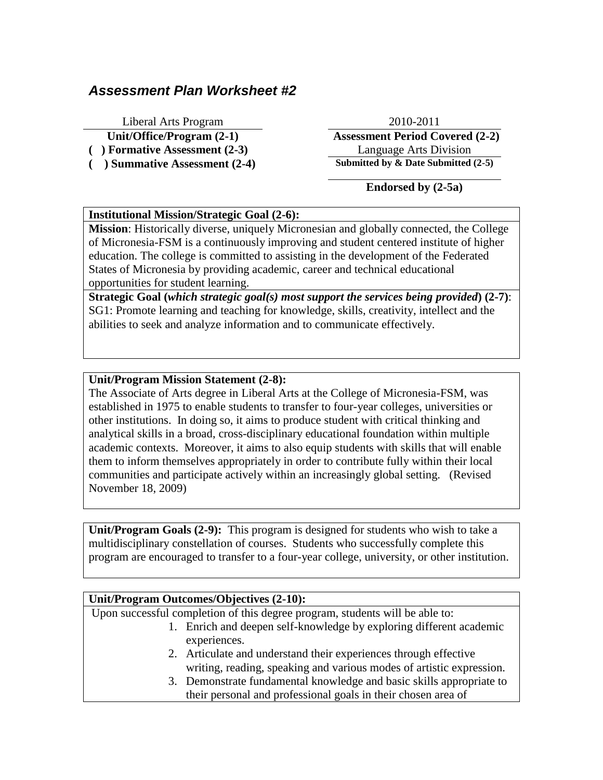# *Assessment Plan Worksheet #2*

Liberal Arts Program 2010-2011

**Unit/Office/Program (2-1) Assessment Period Covered (2-2) ( ) Formative Assessment (2-3)** Language Arts Division **( ) Summative Assessment (2-4) Submitted by & Date Submitted (2-5)**

**Endorsed by (2-5a)**

#### **Institutional Mission/Strategic Goal (2-6):**

**Mission**: Historically diverse, uniquely Micronesian and globally connected, the College of Micronesia-FSM is a continuously improving and student centered institute of higher education. The college is committed to assisting in the development of the Federated States of Micronesia by providing academic, career and technical educational opportunities for student learning.

**Strategic Goal (***which strategic goal(s) most support the services being provided***) (2-7)**: SG1: Promote learning and teaching for knowledge, skills, creativity, intellect and the abilities to seek and analyze information and to communicate effectively.

#### **Unit/Program Mission Statement (2-8):**

The Associate of Arts degree in Liberal Arts at the College of Micronesia-FSM, was established in 1975 to enable students to transfer to four-year colleges, universities or other institutions. In doing so, it aims to produce student with critical thinking and analytical skills in a broad, cross-disciplinary educational foundation within multiple academic contexts. Moreover, it aims to also equip students with skills that will enable them to inform themselves appropriately in order to contribute fully within their local communities and participate actively within an increasingly global setting. (Revised November 18, 2009)

**Unit/Program Goals (2-9):** This program is designed for students who wish to take a multidisciplinary constellation of courses. Students who successfully complete this program are encouraged to transfer to a four-year college, university, or other institution.

## **Unit/Program Outcomes/Objectives (2-10):**

Upon successful completion of this degree program, students will be able to:

- 1. Enrich and deepen self-knowledge by exploring different academic experiences.
- 2. Articulate and understand their experiences through effective writing, reading, speaking and various modes of artistic expression.
- 3. Demonstrate fundamental knowledge and basic skills appropriate to their personal and professional goals in their chosen area of